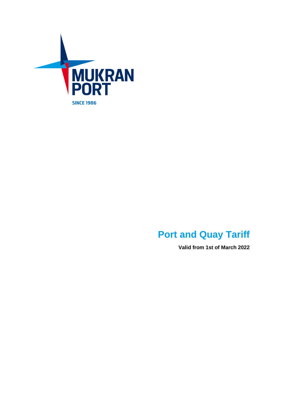

# **Port and Quay Tariff**

**Valid from 1st of March 2022**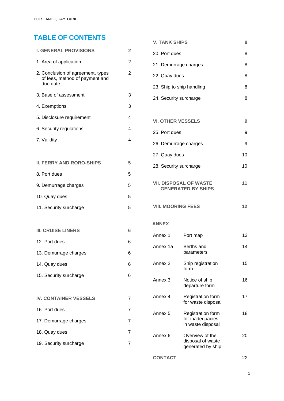# **TABLE OF CONTENTS**

| <b>I. GENERAL PROVISIONS</b>                                                    | $\overline{2}$ |
|---------------------------------------------------------------------------------|----------------|
| 1. Area of application                                                          | $\overline{2}$ |
| 2. Conclusion of agreement, types<br>of fees, method of payment and<br>due date | 2              |
| 3. Base of assessment                                                           | 3              |
| 4. Exemptions                                                                   | 3              |
| 5. Disclosure requirement                                                       | 4              |
| 6. Security regulations                                                         | 4              |
| 7. Validity                                                                     | 4              |
|                                                                                 |                |
| <b>II. FERRY AND RORO-SHIPS</b>                                                 | 5              |
| 8. Port dues                                                                    | 5              |
| 9. Demurrage charges                                                            | 5              |
| 10. Quay dues                                                                   | 5              |
| 11. Security surcharge                                                          | 5              |
|                                                                                 |                |
| <b>III. CRUISE LINERS</b>                                                       | 6              |
| 12. Port dues                                                                   | 6              |
| 13. Demurrage charges                                                           | 6              |
| 14. Quay dues                                                                   | 6              |
| 15. Security surcharge                                                          | 6              |
|                                                                                 |                |
| <b>IV. CONTAINER VESSELS</b>                                                    | 7              |
| 16. Port dues                                                                   | 7              |
| 17. Demurrage charges                                                           | 7              |
| 18. Quay dues                                                                   | 7              |
| 19. Security surcharge                                                          | 7              |

| V. TANK SHIPS             | 8 |
|---------------------------|---|
| 20. Port dues             | 8 |
| 21. Demurrage charges     | 8 |
| 22. Quay dues             | 8 |
| 23. Ship to ship handling | 8 |
| 24. Security surcharge    | 8 |
|                           |   |

| 9  |
|----|
| 9  |
| 10 |
|    |

| <b>VII. DISPOSAL OF WASTE</b> | 11 |
|-------------------------------|----|
| <b>GENERATED BY SHIPS</b>     |    |

28. Security surcharge 10

```
VIII. MOORING FEES 12
```
### **ANNEX**

| Annex 1  | Port map                                                   | 13 |
|----------|------------------------------------------------------------|----|
| Annex 1a | Berths and<br>parameters                                   | 14 |
| Annex 2  | Ship registration<br>form                                  | 15 |
| Annex 3  | Notice of ship<br>departure form                           | 16 |
| Annex 4  | <b>Registration form</b><br>for waste disposal             | 17 |
| Annex 5  | Registration form<br>for inadequacies<br>in waste disposal | 18 |
| Annex 6  | Overview of the<br>disposal of waste<br>generated by ship  | 20 |
|          |                                                            |    |

**CONTACT**

 $\overline{1}$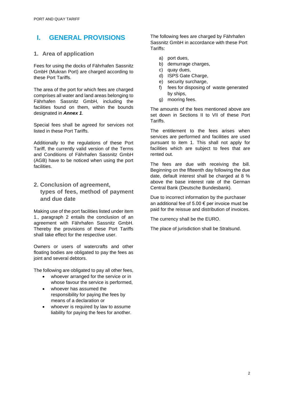## **I. GENERAL PROVISIONS**

## **1. Area of application**

Fees for using the docks of Fährhafen Sassnitz GmbH (Mukran Port) are charged according to these Port Tariffs.

The area of the port for which fees are charged comprises all water and land areas belonging to Fährhafen Sassnitz GmbH, including the facilities found on them, within the bounds designated in *Annex 1*.

Special fees shall be agreed for services not listed in these Port Tariffs.

Additionally to the regulations of these Port Tariff, the currently valid version of the Terms and Conditions of Fährhafen Sassnitz GmbH (AGB) have to be noticed when using the port facilities.

## **2. Conclusion of agreement, types of fees, method of payment and due date**

Making use of the port facilities listed under item 1., paragraph 2 entails the conclusion of an agreement with Fährhafen Sassnitz GmbH. Thereby the provisions of these Port Tariffs shall take effect for the respective user.

Owners or users of watercrafts and other floating bodies are obligated to pay the fees as joint and several debtors.

The following are obligated to pay all other fees,

- whoever arranged for the service or in whose favour the service is performed,
- whoever has assumed the responsibility for paying the fees by means of a declaration or
- whoever is required by law to assume liability for paying the fees for another.

The following fees are charged by Fährhafen Sassnitz GmbH in accordance with these Port Tariffs:

- a) port dues,
- b) demurrage charges,
- c) quay dues,
- d) ISPS Gate Charge,
- e) security surcharge.
- f) fees for disposing of waste generated by ships,
- g) mooring fees.

The amounts of the fees mentioned above are set down in Sections II to VII of these Port Tariffs.

The entitlement to the fees arises when services are performed and facilities are used pursuant to item 1. This shall not apply for facilities which are subject to fees that are rented out.

The fees are due with receiving the bill. Beginning on the fifteenth day following the due date, default interest shall be charged at 8 % above the base interest rate of the German Central Bank (Deutsche Bundesbank).

Due to incorrect information by the purchaser an additional fee of  $5.00 \in$  per invoice must be paid for the reissue and distribution of invoices.

The currency shall be the EURO.

The place of jurisdiction shall be Stralsund.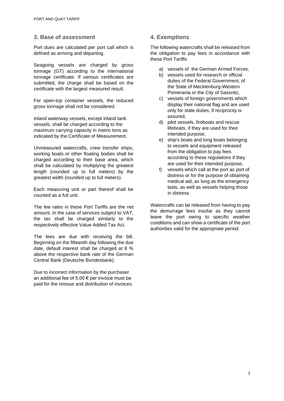## **3. Base of assessment**

Port dues are calculated per port call which is defined as arriving and departing.

Seagoing vessels are charged by gross tonnage (GT) according to the international tonnage certificate. If various certificates are submitted, the charge shall be based on the certificate with the largest measured result.

For open-top container vessels, the reduced gross tonnage shall not be considered.

Inland waterway vessels, except inland tank vessels, shall be charged according to the maximum carrying capacity in metric tons as indicated by the Certificate of Measurement.

Unmeasured watercrafts, crew transfer ships, working boats or other floating bodies shall be charged according to their base area, which shall be calculated by multiplying the greatest length (rounded up to full meters) by the greatest width (rounded up to full meters).

Each measuring unit or part thereof shall be counted as a full unit.

The fee rates in these Port Tariffs are the net amount. In the case of services subject to VAT, the tax shall be charged similarly to the respectively effective Value Added Tax Act.

The fees are due with receiving the bill. Beginning on the fifteenth day following the due date, default interest shall be charged at 8 % above the respective bank rate of the German Central Bank (Deutsche Bundesbank).

Due to incorrect information by the purchaser an additional fee of 5.00 € per invoice must be paid for the reissue and distribution of invoices.

## **4. Exemptions**

The following watercrafts shall be released from the obligation to pay fees in accordance with these Port Tariffs:

- a) vessels of the German Armed Forces,
- b) vessels used for research or official duties of the Federal Government, of the State of Mecklenburg-Western Pomerania or the City of Sassnitz,
- c) vessels of foreign governments which display their national flag and are used only for state duties, if reciprocity is assured,
- d) pilot vessels, fireboats and rescue lifeboats, if they are used for their intended purpose,
- e) ship's boats and long boats belonging to vessels and equipment released from the obligation to pay fees according to these regulations if they are used for their intended purpose,
- f) vessels which call at the port as port of distress or for the purpose of obtaining medical aid, as long as the emergency lasts, as well as vessels helping those in distress.

Watercrafts can be released from having to pay the demurrage fees insofar as they cannot leave the port owing to specific weather conditions and can show a certificate of the port authorities valid for the appropriate period.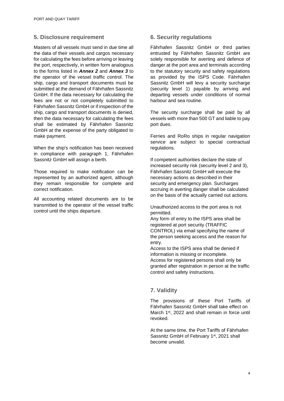## **5. Disclosure requirement**

Masters of all vessels must send in due time all the data of their vessels and cargos necessary for calculating the fees before arriving or leaving the port, respectively, in written form analogous to the forms listed in *Annex 2* and *Annex 3* to the operator of the vessel traffic control. The ship, cargo and transport documents must be submitted at the demand of Fährhafen Sassnitz GmbH. If the data necessary for calculating the fees are not or not completely submitted to Fährhafen Sassnitz GmbH or if inspection of the ship, cargo and transport documents is denied, then the data necessary for calculating the fees shall be estimated by Fährhafen Sassnitz GmbH at the expense of the party obligated to make payment.

When the ship's notification has been received in compliance with paragraph 1, Fährhafen Sassnitz GmbH will assign a berth.

Those required to make notification can be represented by an authorized agent, although they remain responsible for complete and correct notification.

All accounting related documents are to be transmitted to the operator of the vessel traffic control until the ships departure.

## **6. Security regulations**

Fährhafen Sassnitz GmbH or third parties entrusted by Fährhafen Sassnitz GmbH are solely responsible for averting and defence of danger at the port area and terminals according to the statutory security and safety regulations as provided by the ISPS Code. Fährhafen Sassnitz GmbH will levy a security surcharge (security level 1) payable by arriving and departing vessels under conditions of normal harbour and sea routine.

The security surcharge shall be paid by all vessels with more than 500 GT and liable to pay port dues.

Ferries and RoRo ships in regular navigation service are subject to special contractual regulations.

If competent authorities declare the state of increased security risk (security level 2 and 3), Fährhafen Sassnitz GmbH will execute the necessary actions as described in their security and emergency plan. Surcharges accruing in averting danger shall be calculated on the basis of the actually carried out actions.

Unauthorized access to the port area is not permitted.

Any form of entry to the ISPS area shall be registered at port security (TRAFFIC CONTROL) via email specifying the name of the person seeking access and the reason for entry.

Access to the ISPS area shall be denied if information is missing or incomplete. Access for registered persons shall only be granted after registration in person at the traffic control and safety instructions.

## **7. Validity**

The provisions of these Port Tariffs of Fährhafen Sassnitz GmbH shall take effect on March 1<sup>st</sup>, 2022 and shall remain in force until revoked.

At the same time, the Port Tariffs of Fährhafen Sassnitz GmbH of February 1<sup>st</sup>, 2021 shall become unvalid.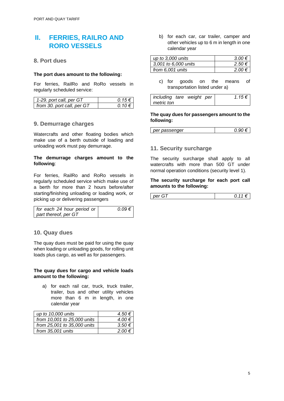## **II. FERRIES, RAILRO AND RORO VESSELS**

### **8. Port dues**

#### **The port dues amount to the following:**

For ferries, RailRo and RoRo vessels in regularly scheduled service:

| 1-29. port call, per GT    | $0.15€$ I    |
|----------------------------|--------------|
| from 30. port call, per GT | $0.10 \in I$ |

### **9. Demurrage charges**

Watercrafts and other floating bodies which make use of a berth outside of loading and unloading work must pay demurrage.

#### **The demurrage charges amount to the following**:

For ferries, RailRo and RoRo vessels in regularly scheduled service which make use of a berth for more than 2 hours before/after starting/finishing unloading or loading work, or picking up or delivering passengers

| for each 24 hour period or | $0.09 \in$ |
|----------------------------|------------|
| part thereof, per GT       |            |

#### **10. Quay dues**

The quay dues must be paid for using the quay when loading or unloading goods, for rolling unit loads plus cargo, as well as for passengers.

#### **The quay dues for cargo and vehicle loads amount to the following:**

a) for each rail car, truck, truck trailer, trailer, bus and other utility vehicles more than 6 m in length, in one calendar year

| up to 10,000 units          | $4.50 \in \mathbb{I}$ |
|-----------------------------|-----------------------|
| from 10,001 to 25,000 units | $4.00 \in$            |
| from 25,001 to 35,000 units | $3.50 \in$            |
| from 35,001 units           | $2.00 \in$            |

b) for each car, car trailer, camper and other vehicles up to 6 m in length in one calendar year

| up to 3,000 units    | $3.00 \in$ |
|----------------------|------------|
| 3.001 to 6.000 units | 2.50 €     |
| from 6.001 units     | 2.00 €     |

c) for goods on the means of transportation listed under a)

| including tare weight per |  | 1.15€ |
|---------------------------|--|-------|
| metric ton                |  |       |

#### **The quay dues for passengers amount to the following:**

| per passenger |  |
|---------------|--|
|---------------|--|

### **11. Security surcharge**

The security surcharge shall apply to all watercrafts with more than 500 GT under normal operation conditions (security level 1).

#### **The security surcharge for each port call amounts to the following:**

| nar<br>∼ |  |
|----------|--|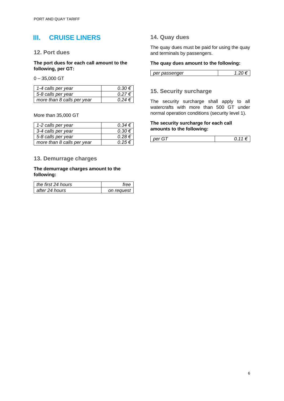## **III. CRUISE LINERS**

#### **12. Port dues**

**The port dues for each call amount to the following, per GT:**

0 – 35,000 GT

| 1-4 calls per year         | $0.30 \in$   |
|----------------------------|--------------|
| 5-8 calls per year         | $0.27 \in I$ |
| more than 8 calls per year | $0.24 \in I$ |

More than 35,000 GT

| 1-2 calls per year         | $0.34 \in I$ |
|----------------------------|--------------|
| 3-4 calls per year         | $0.30 \in$   |
| 5-8 calls per year         | $0.28 \in$   |
| more than 8 calls per year | $0.25 \in I$ |

### **13. Demurrage charges**

#### **The demurrage charges amount to the following:**

| the first 24 hours |            |
|--------------------|------------|
| after 24 hours     | on request |

## **14. Quay dues**

The quay dues must be paid for using the quay and terminals by passengers.

#### **The quay dues amount to the following:**

| $\cdots$<br>$-$<br>ıω |  |
|-----------------------|--|
|                       |  |

### **15. Security surcharge**

The security surcharge shall apply to all watercrafts with more than 500 GT under normal operation conditions (security level 1).

#### **The security surcharge for each call amounts to the following:**

| per<br>,, |
|-----------|
|-----------|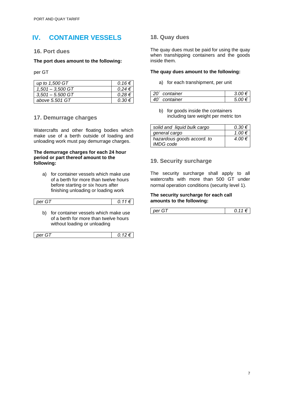## **IV. CONTAINER VESSELS**

### **16. Port dues**

#### **The port dues amount to the following:**

per GT

| up to 1,500 GT     | $0.16 \in I$ |
|--------------------|--------------|
| $1,501 - 3,500$ GT | $0.24 \in$   |
| $3.501 - 5.500$ GT | $0.28 \in I$ |
| above 5.501 GT     | $0.30 \in$   |

### **17. Demurrage charges**

Watercrafts and other floating bodies which make use of a berth outside of loading and unloading work must pay demurrage charges.

#### **The demurrage charges for each 24 hour period or part thereof amount to the following:**

a) for container vessels which make use of a berth for more than twelve hours before starting or six hours after finishing unloading or loading work

| per GT                                                                   | 0.11€ |
|--------------------------------------------------------------------------|-------|
| الماشاري المادات والمواطرة والمتواط والمتحدث والمستحدث والمتحال والمتألئ |       |

b) for container vessels which make use of a berth for more than twelve hours without loading or unloading

| per |
|-----|
|-----|

## **18. Quay dues**

The quay dues must be paid for using the quay when transhipping containers and the goods inside them.

#### **The quay dues amount to the following:**

a) for each transhipment, per unit

| 20 <sup>'</sup> container | $\cdot$ $\mu$ $\mu$ $\epsilon$ . |
|---------------------------|----------------------------------|
| 40 <sup>'</sup> container | 5 ∩∩ €                           |

b) for goods inside the containers including tare weight per metric ton

| solid and liquid bulk cargo | $0.30 \in$ |
|-----------------------------|------------|
| general cargo               | $1.00 \in$ |
| hazardous goods accord. to  | 4.00 €     |
| <i>IMDG code</i>            |            |

## **19. Security surcharge**

The security surcharge shall apply to all watercrafts with more than 500 GT under normal operation conditions (security level 1).

#### **The security surcharge for each call amounts to the following:**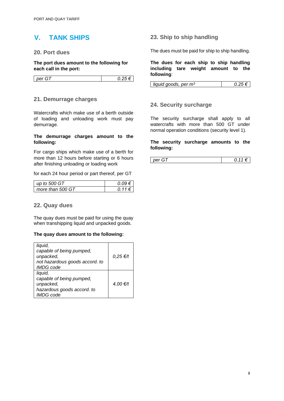## **V. TANK SHIPS**

### **20. Port dues**

**The port dues amount to the following for each call in the port:**

| per<br>. .<br>. . | U.LJ |
|-------------------|------|

### **21. Demurrage charges**

Watercrafts which make use of a berth outside of loading and unloading work must pay demurrage.

#### **The demurrage charges amount to the following:**

For cargo ships which make use of a berth for more than 12 hours before starting or 6 hours after finishing unloading or loading work

for each 24 hour period or part thereof, per GT

| up to 500 GT     |                    |
|------------------|--------------------|
| more than 500 GT | O 11<br>$\epsilon$ |

### **22. Quay dues**

The quay dues must be paid for using the quay when transhipping liquid and unpacked goods.

#### **The quay dues amount to the following:**

| liquid,<br>capable of being pumped,<br>unpacked,   | $0,25 \in H$ |
|----------------------------------------------------|--------------|
| not hazardous goods accord. to<br><b>IMDG</b> code |              |
| liquid,                                            |              |
| capable of being pumped,                           |              |
| unpacked,                                          | 4,00 €/t     |
| hazardous goods accord. to                         |              |
| <b>IMDG</b> code                                   |              |

### **23. Ship to ship handling**

The dues must be paid for ship to ship handling.

**The dues for each ship to ship handling including tare weight amount to the following**:

| liquid goods, per m <sup>3</sup> |  |
|----------------------------------|--|
|----------------------------------|--|

### **24. Security surcharge**

The security surcharge shall apply to all watercrafts with more than 500 GT under normal operation conditions (security level 1).

#### **The security surcharge amounts to the following:**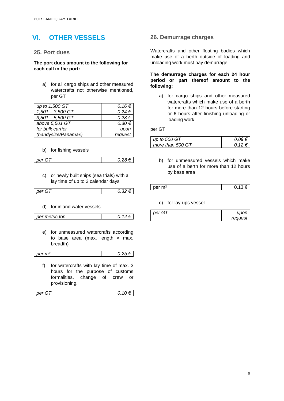# **VI. OTHER VESSELS**

### **25. Port dues**

#### **The port dues amount to the following for each call in the port:**

a) for all cargo ships and other measured watercrafts not otherwise mentioned, per GT

| up to 1,500 GT      | $0.16 \in$ |
|---------------------|------------|
| $1,501 - 3,500$ GT  | $0.24 \in$ |
| $3,501 - 5,500$ GT  | $0.28 \in$ |
| above 5,501 GT      | $0.30 \in$ |
| for bulk carrier    | upon       |
| (handysize/Panamax) | request    |

#### b) for fishing vessels

*per GT 0.28 €*

*p.12 €* 

c) or newly built ships (sea trials) with a lay time of up to 3 calendar days

d) for inland water vessels

| per metric ton |
|----------------|
|----------------|

e) for unmeasured watercrafts according to base area (max. length  $\times$  max. breadth)

| per m <sup>2</sup> | ⊾. |
|--------------------|----|

f) for watercrafts with lay time of max. 3 hours for the purpose of customs formalities, change of crew or provisioning.

| ¬<br>per | $\overline{\phantom{a}}$ |
|----------|--------------------------|
|----------|--------------------------|

### **26. Demurrage charges**

Watercrafts and other floating bodies which make use of a berth outside of loading and unloading work must pay demurrage.

#### **The demurrage charges for each 24 hour period or part thereof amount to the following:**

a) for cargo ships and other measured watercrafts which make use of a berth for more than 12 hours before starting or 6 hours after finishing unloading or loading work

per GT

| up to 500 GT     |  |
|------------------|--|
| more than 500 GT |  |

b) for unmeasured vessels which make use of a berth for more than 12 hours by base area

| ~~<br>--<br>-- |  |
|----------------|--|
|----------------|--|

#### c) for lay-ups vessel

| per G1 | upon    |
|--------|---------|
|        | request |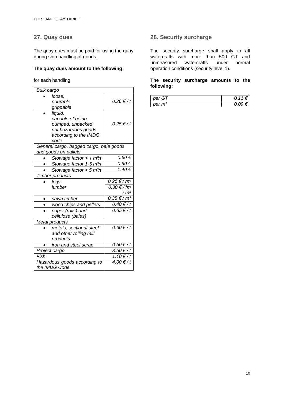## **27. Quay dues**

The quay dues must be paid for using the quay during ship handling of goods.

### **The quay dues amount to the following:**

for each handling

| <b>Bulk cargo</b> |                                         |                    |  |
|-------------------|-----------------------------------------|--------------------|--|
|                   | loose.                                  |                    |  |
|                   | pourable,                               | 0.26 €/t           |  |
|                   | grippable                               |                    |  |
|                   | liquid,                                 |                    |  |
|                   | capable of being                        |                    |  |
|                   | pumped, unpacked,                       | $0.25 \notin / t$  |  |
|                   | not hazardous goods                     |                    |  |
|                   | according to the IMDG                   |                    |  |
|                   | code                                    |                    |  |
|                   | General cargo, bagged cargo, bale goods |                    |  |
|                   | and goods on pallets                    |                    |  |
|                   | Stowage factor < 1 $m^3/t$              | 0.60€              |  |
|                   | Stowage factor 1-5 m <sup>3</sup> /t    | $0.90 \in$         |  |
|                   | Stowage factor > $5 \text{ m}^3$ /t     | 1.40 €             |  |
|                   | <b>Timber products</b>                  |                    |  |
|                   |                                         |                    |  |
|                   | logs,                                   | 0.25 € / rm        |  |
|                   | lumber                                  | $0.30 \notin / fm$ |  |
|                   |                                         | / m <sup>3</sup>   |  |
| ٠                 | sawn timber                             | 0.35 € / mª        |  |
|                   | wood chips and pellets                  | $0.40 \notin / t$  |  |
|                   | paper (rolls) and                       | $0.65 \in / t$     |  |
|                   | cellulose (bales)                       |                    |  |
|                   | Metal products                          |                    |  |
|                   | metals, sectional steel                 | $0.60 \notin / t$  |  |
|                   | and other rolling mill                  |                    |  |
|                   | products                                |                    |  |
|                   | iron and steel scrap                    | 0.50 € / t         |  |
|                   | Project cargo                           | 3.50 €/t           |  |
| Fish              |                                         | 1.10 €/t           |  |
|                   | Hazardous goods according to            | $4.00 \t f/t$      |  |

## **28. Security surcharge**

The security surcharge shall apply to all watercrafts with more than 500 GT and unmeasured watercrafts under normal operation conditions (security level 1).

#### **The security surcharge amounts to the following:**

| nar<br>÷                  | ◢ |
|---------------------------|---|
| $n \rho r$ m <sup>2</sup> |   |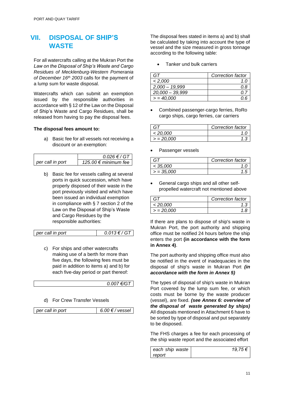## **VII. DISPOSAL OF SHIP'S WASTE**

For all watercrafts calling at the Mukran Port the *Law on the Disposal of Ship's Waste and Cargo Residues of Mecklenburg-Western Pomerania of December 16th 2003* calls for the payment of a lump sum for waste disposal.

Watercrafts which can submit an exemption issued by the responsible authorities in accordance with § 12 of the Law on the Disposal of Ship's Waste and Cargo Residues, shall be released from having to pay the disposal fees.

#### **The disposal fees amount to:**

a) Basic fee for all vessels not receiving a discount or an exemption:

|                  | $0.026 \in / G$ T      |  |
|------------------|------------------------|--|
| per call in port | 125.00 € minimum fee 1 |  |

b) Basic fee for vessels calling at several ports in quick succession, which have properly disposed of their waste in the port previously visited and which have been issued an individual exemption in compliance with § 7 section 2 of the Law on the Disposal of Ship's Waste and Cargo Residues by the responsible authorities:

$$
per call in port \t\t 0.013 \t \t\t 67
$$

c) For ships and other watercrafts making use of a berth for more than five days, the following fees must be paid in addition to items a) and b) for each five-day period or part thereof:

| $\epsilon/G$ T |
|----------------|
|                |

d) For Crew Transfer Vessels

|--|

The disposal fees stated in items a) and b) shall be calculated by taking into account the type of vessel and the size measured in gross tonnage according to the following table:

• Tanker und bulk carriers

|                   | Correction factor |
|-------------------|-------------------|
| < 2,000           | 1.0               |
| $2,000 - 19,999$  |                   |
| $20,000 - 39,999$ |                   |
| $= 40,000$        |                   |

• Combined passenger-cargo ferries, RoRo cargo ships, cargo ferries, car carriers

| G1       | Correction factor |
|----------|-------------------|
| < 20.000 |                   |
| > 20,000 |                   |

Passenger vessels

| G 1          | Correction factor |
|--------------|-------------------|
| < 35,000     |                   |
| $>$ = 35,000 |                   |

• General cargo ships and all other selfpropelled watercraft not mentioned above

|              | Correction factor |
|--------------|-------------------|
| < 20,000     |                   |
| $> = 20,000$ |                   |

If there are plans to dispose of ship's waste in Mukran Port, the port authority and shipping office must be notified 24 hours before the ship enters the port **(in accordance with the form in Annex 4)**.

The port authority and shipping office must also be notified in the event of inadequacies in the disposal of ship's waste in Mukran Port *(in accordance with the form in Annex 5)*

The types of disposal of ship's waste in Mukran Port covered by the lump sum fee, or which costs must be borne by the waste producer (vessel), are fixed. *(see Annex 6: overview of the disposal of waste generated by ships)* All disposals mentioned in Attachment 6 have to be sorted by type of disposal and put separately to be disposed.

The FHS charges a fee for each processing of the ship waste report and the associated effort

| each ship waste | 19,75 € |
|-----------------|---------|
| report          |         |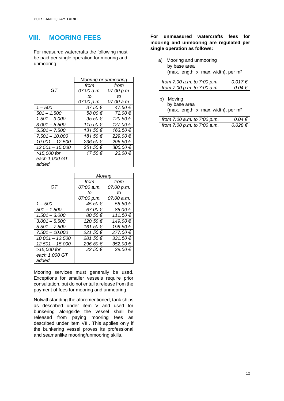## **VIII. MOORING FEES**

For measured watercrafts the following must be paid per single operation for mooring and unmooring.

|                   |            | Mooring or unmooring |  |
|-------------------|------------|----------------------|--|
|                   | from       | from                 |  |
| GT                | 07:00 a.m. | 07:00 p.m.           |  |
|                   | tΩ         | tΩ                   |  |
|                   | 07:00 p.m. | 07:00 a.m.           |  |
| $1 - 500$         | 37.50€     | 47.50€               |  |
| $501 - 1.500$     | 58.00€     | 72.00€               |  |
| $1.501 - 3.000$   | 95.50€     | 120.50 €             |  |
| $3.001 - 5.500$   | 115.50€    | 127.00 €             |  |
| $5.501 - 7.500$   | 131.50€    | 163.50€              |  |
| $7.501 - 10.000$  | 181.50 €   | 229.00 €             |  |
| $10.001 - 12.500$ | 236.50 €   | 296.50€              |  |
| $12.501 - 15.000$ | 251.50€    | 300.00 €             |  |
| >15,000 for       | 17.50€     | 23.00€               |  |
| each 1,000 GT     |            |                      |  |
| added             |            |                      |  |

|                   | Moving      |              |
|-------------------|-------------|--------------|
|                   | from        | from         |
| GT                | 07:00 a.m.  | 07:00 p.m.   |
|                   | tΩ          | tΩ           |
|                   | 07:00 p.m.  | 07:00 a.m.   |
| $1 - 500$         | 45.50 €     | 55.50€       |
| $501 - 1.500$     | 67.00€      | 85.00€       |
| $1.501 - 3.000$   | 80.50€      | 111.50€      |
| $3.001 - 5.500$   | 120.50 €    | 149.00 €     |
| $5.501 - 7.500$   | 161.50€     | 198.50 €     |
| $7.501 - 10.000$  | 221.50€     | 277.00€      |
| $10.001 - 12.500$ | 281.50€     | $331.50 \in$ |
| $12.501 - 15.000$ | 296.50€     | 352.00 €     |
| >15,000 for       | $22.50 \in$ | 29.00€       |
| each 1,000 GT     |             |              |
| added             |             |              |

Mooring services must generally be used. Exceptions for smaller vessels require prior consultation, but do not entail a release from the payment of fees for mooring and unmooring.

Notwithstanding the aforementioned, tank ships as described under item V and used for bunkering alongside the vessel shall be released from paying mooring fees as described under item VIII. This applies only if the bunkering vessel proves its professional and seamanlike mooring/unmooring skills.

#### **For unmeasured watercrafts fees for mooring and unmooring are regulated per single operation as follows:**

 a) Mooring and unmooring by base area (max. length  $x$  max. width), per  $m<sup>2</sup>$ 

| from 7:00 a.m. to 7:00 p.m. | 0.017€     |
|-----------------------------|------------|
| from 7:00 p.m. to 7:00 a.m. | $0.04 \in$ |

b) Moving

by base area (max. length x max. width), per m²

| from 7:00 a.m. to 7:00 p.m.     | $0.04 \in$ |
|---------------------------------|------------|
| from $7:00$ p.m. to $7:00$ a.m. | 0.028 ∈    |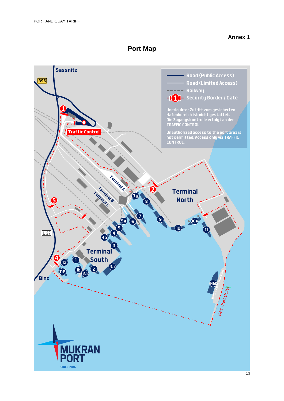## **Port Map**

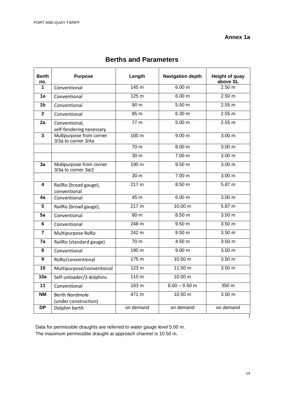## **Annex 1a**

| Berth<br>no.    | <b>Purpose</b>                                  | Length            | <b>Navigation depth</b> | <b>Height of quay</b><br>above SL |
|-----------------|-------------------------------------------------|-------------------|-------------------------|-----------------------------------|
| 1               | Conventional                                    | 145 m             | 6.00 m                  | 2.50 m                            |
| 1a              | Conventional                                    | 125 m             | 6.00 m                  | 2.50 m                            |
| 1 <sub>b</sub>  | Conventional                                    | 90 <sub>m</sub>   | 5.50 m                  | 2.55 m                            |
| $\mathbf{2}$    | Conventional                                    | 85 m              | 6.30 m                  | 2.55 m                            |
| 2a              | Conventional,<br>self-fendering necessary       | 77 <sub>m</sub>   | 5.00 m                  | 2.55 m                            |
| 3               | Multipurpose from corner<br>3/3a to corner 3/4a | 100 m             | 9.00 m                  | 3.00 m                            |
|                 |                                                 | 70 m              | 8.00 m                  | 3.00 <sub>m</sub>                 |
|                 |                                                 | 30 <sub>m</sub>   | 7.00 <sub>m</sub>       | 3.00 m                            |
| 3a              | Multipurpose from corner<br>3/3a to corner 3a/2 | 190 <sub>m</sub>  | 9.50 <sub>m</sub>       | 3.00 <sub>m</sub>                 |
|                 |                                                 | 30 <sub>m</sub>   | 7.00 <sub>m</sub>       | 3.00 <sub>m</sub>                 |
| 4               | RailRo (broad gauge),<br>conventional           | 217 m             | 8.50 m                  | 5.87 <sub>m</sub>                 |
| 4a              | Conventional                                    | 45 m              | 6.00 m                  | 3.00 <sub>m</sub>                 |
| 5               | RailRo (broad gauge),                           | 217 m             | 10.00 m                 | 5.87 m                            |
| 5a              | Conventional                                    | 80 m              | 8.50 m                  | 3.50 m                            |
| 6               | Conventional                                    | 248 m             | 9.50 m                  | 3.50 <sub>m</sub>                 |
| $\overline{7}$  | Multipurpose RoRo                               | 242 m             | 9.50 m                  | 3.50 m                            |
| 7a              | RailRo (standard gauge)                         | $\overline{70}$ m | 4.50 <sub>m</sub>       | 3.50 <sub>m</sub>                 |
| 8               | Conventional                                    | 190 m             | 9.00 m                  | 3.50 m                            |
| 9               | RoRo/conventional                               | 175 m             | 10.50 m                 | 3.50 <sub>m</sub>                 |
| $\overline{10}$ | Multipurpose/conventional                       | 123 m             | 11.50 m                 | 3.50 <sub>m</sub>                 |
| 10a             | Self-unloader/3 dolphins                        | 110 <sub>m</sub>  | 10.00 m                 |                                   |
| 11              | Conventional                                    | 163 m             | $8.00 - 9.50$ m         | 350 m                             |
| NΜ              | <b>Berth Nordmole</b><br>(under construction)   | 471 m             | 10.50 m                 | 3.50 m                            |
| <b>DP</b>       | Dolphin berth                                   | on demand         | on demand               | on demand                         |

## **Berths and Parameters**

Data for permissible draughts are referred to water gauge level 5.00 m. The maximum permissible draught at approach channel is 10.50 m.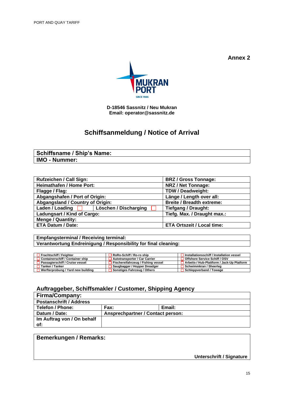

**D-18546 Sassnitz / Neu Mukran Email: operator[@sassnitz.de](mailto:operating@faehrhafen-sassnitz.de)**

## **Schiffsanmeldung / Notice of Arrival**

## **Schiffsname / Ship's Name: IMO - Nummer:**

| <b>Rufzeichen / Call Sign:</b>   |                       | <b>BRZ / Gross Tonnage:</b>       |  |
|----------------------------------|-----------------------|-----------------------------------|--|
| <b>Heimathafen / Home Port:</b>  |                       | <b>NRZ / Net Tonnage:</b>         |  |
| Flagge / Flag:                   |                       | <b>TDW / Deadweight:</b>          |  |
| Abgangshafen / Port of Origin:   |                       | Länge / Length over all:          |  |
| Abgangsland / Country of Origin: |                       | <b>Breite / Breadth extreme:</b>  |  |
| Laden / Loading                  | Löschen / Discharging | <b>Tiefgang / Draught:</b>        |  |
| Ladungsart / Kind of Cargo:      |                       | Tiefg. Max. / Draught max.:       |  |
| <b>Menge / Quantity:</b>         |                       |                                   |  |
| <b>ETA Datum / Date:</b>         |                       | <b>ETA Ortszeit / Local time:</b> |  |

**Empfangsterminal / Receiving terminal: Verantwortung Endreinigung / Responsibility for final cleaning:**

| $\Box$ Frachtschiff / Feighter            | RoRo-Schiff / Ro-ro ship           | Installationsschiff / Installation vessel  |
|-------------------------------------------|------------------------------------|--------------------------------------------|
| $\Box$ Containerschiff / Container ship   | Autotransporter / Car Carrier      | Offshore Service Schiff / OSV              |
| □ Passagierschiff / Cruise vessel         | Fischereifahrzeug / Fishing vessel | Arbeits-/ Hub-Plattform / Jack-Up Platform |
| <b>□ Tanker / Tanker</b>                  | Saugbagger / Hopper Dreadger       | Schwimmkran / Sheerleg                     |
| $\Box$ Werfterprobung / Yard new building | Sonstiges Fahrzeug / Others        | $\Box$ Schleppverband / Towage             |

## **Auftraggeber, Schiffsmakler / Customer, Shipping Agency**

#### **Firma/Company: Postanschrift / Address**  Telefon / Phone: Fax: **Fax:** Email: Datum / Date: **Ansprechpartner / Contact person: Im Auftrag von / On behalf of:**

## **Bemerkungen / Remarks:**

**Unterschrift / Signature**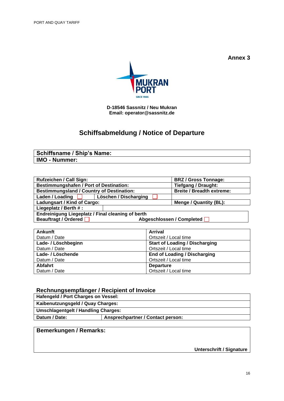

**D-18546 Sassnitz / Neu Mukran Email: operator[@sassnitz.de](mailto:operating@faehrhafen-sassnitz.de)**

# **Schiffsabmeldung / Notice of Departure**

| <b>Schiffsname / Ship's Name:</b> |  |
|-----------------------------------|--|
| <b>IMO - Nummer:</b>              |  |

| <b>Rufzeichen / Call Sign:</b>                           |                       | <b>BRZ / Gross Tonnage:</b>      |  |  |
|----------------------------------------------------------|-----------------------|----------------------------------|--|--|
| <b>Bestimmungshafen / Port of Destination:</b>           |                       | <b>Tiefgang / Draught:</b>       |  |  |
| <b>Bestimmungsland / Country of Destination:</b>         |                       | <b>Breite / Breadth extreme:</b> |  |  |
| Laden / Loading                                          | Löschen / Discharging |                                  |  |  |
| Ladungsart / Kind of Cargo:                              |                       | Menge / Quantity (BL):           |  |  |
| Liegeplatz / Berth #:                                    |                       |                                  |  |  |
| <b>Endreinigung Liegeplatz / Final cleaning of berth</b> |                       |                                  |  |  |
| Abgeschlossen / Completed                                |                       |                                  |  |  |
| Beauftragt / Ordered                                     |                       |                                  |  |  |

| Ankunft             | <b>Arrival</b>                        |
|---------------------|---------------------------------------|
| Datum / Date        | Ortszeit / Local time                 |
| Lade- / Löschbeginn | <b>Start of Loading / Discharging</b> |
| Datum / Date        | Ortszeit / Local time                 |
| Lade- / Löschende   | <b>End of Loading / Discharging</b>   |
| Datum / Date        | Ortszeit / Local time                 |
| Abfahrt             | <b>Departure</b>                      |
| Datum / Date        | Ortszeit / Local time                 |

## **Rechnungsempfänger / Recipient of Invoice**

| Hafengeld / Port Charges on Vessel:        |                                   |  |  |
|--------------------------------------------|-----------------------------------|--|--|
| Kaibenutzungsgeld / Quay Charges:          |                                   |  |  |
| <b>Umschlagentgelt / Handling Charges:</b> |                                   |  |  |
| Datum / Date:                              | Ansprechpartner / Contact person: |  |  |

## **Bemerkungen / Remarks:**

**Unterschrift / Signature**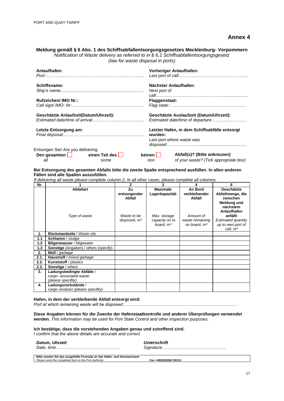| Meldung gemäß § 6 Abs. 1 des Schiffsabfallentsorgungsgesetzes Mecklenburg-Vorpommern     |
|------------------------------------------------------------------------------------------|
| Notification of Waste delivery as referred to in $\S 6.1$ Schiffsabfallentsorgungsgesetz |
| (law for waste disposal in ports)                                                        |

| Anlaufhafen:                                                                                                                                                                                                                         |      |                      | <b>Vorheriger Anlaufhafen:</b>                                               |
|--------------------------------------------------------------------------------------------------------------------------------------------------------------------------------------------------------------------------------------|------|----------------------|------------------------------------------------------------------------------|
| Schiffsname:                                                                                                                                                                                                                         |      |                      | Nächster Anlaufhafen:                                                        |
|                                                                                                                                                                                                                                      |      | Next port of         |                                                                              |
| Rufzeichen/ IMO Nr.:                                                                                                                                                                                                                 |      | <b>Flaggenstaat:</b> |                                                                              |
|                                                                                                                                                                                                                                      |      |                      |                                                                              |
| Geschätzte Anlaufzeit(Datum/Uhrzeit):                                                                                                                                                                                                |      |                      | Geschätzte Auslaufzeit (Datum/Uhrzeit):<br>Estimated date/time of departure: |
| Letzte Entsorgung am:                                                                                                                                                                                                                |      |                      | Letzter Hafen, in dem Schiffsabfälle entsorgt                                |
|                                                                                                                                                                                                                                      |      | wurden:              |                                                                              |
|                                                                                                                                                                                                                                      |      |                      | Last port where waste was                                                    |
|                                                                                                                                                                                                                                      |      |                      |                                                                              |
| Entsorgen Sie/ Are you delivering                                                                                                                                                                                                    |      |                      |                                                                              |
| Den gesamten <b>Den State State State State State State State State State State State State State State State State State State State State State State State State State State State State State State State State State State </b> |      | $keinen$             | Abfall(s)? (Bitte ankreuzen)                                                 |
| all                                                                                                                                                                                                                                  | some | non                  | of your waste? (Tick appropriate box)                                        |

**Bei Entsorgung des gesamten Abfalls bitte die zweite Spalte entsprechend ausfüllen. In allen anderen Fällen sind alle Spalten auszufüllen.**

*If delivering all waste please complete column 2. In all other cases, please complete all columns.*

| Nr.  |                                              | 2                      | 3               | 4                              | 5                                      |
|------|----------------------------------------------|------------------------|-----------------|--------------------------------|----------------------------------------|
|      | <b>Abfallart</b>                             | Zu                     | <b>Maximale</b> | An Bord                        | Geschätzte                             |
|      |                                              | entsorgender<br>Abfall | Lagerkapazität  | verbleibender<br><b>Abfall</b> | Abfallmenge, die<br>zwischen           |
|      |                                              |                        |                 |                                | Meldung und<br>nächstem<br>Anlaufhafen |
|      | Type of waste                                | Waste to be            | Max. storage    | Amount of                      | anfällt                                |
|      |                                              | disposed, $m3$         | capacity on to  | waste remaining                | Estimated quantity                     |
|      |                                              |                        | board, $m3$     | on board, m <sup>3</sup>       | up to next port of                     |
|      |                                              |                        |                 |                                | call, m <sup>3</sup>                   |
| 1.   | Rückstandsöle / Waste oils                   |                        |                 |                                |                                        |
| 1.1  | Schlamm / sludge                             |                        |                 |                                |                                        |
| 1.2  | Bilgenwasser / bligewater                    |                        |                 |                                |                                        |
| 1.3  | <b>Sonstige</b> (Angaben) / others (specify) |                        |                 |                                |                                        |
| 2.   | Müll / garbage                               |                        |                 |                                |                                        |
| 2.1. | Hausmüll / mixed garbage                     |                        |                 |                                |                                        |
| 2.2. | <b>Kunststoff</b> / plastics                 |                        |                 |                                |                                        |
| 2.3. | Sonstige / others                            |                        |                 |                                |                                        |
| 3.   | Ladungsbedingte Abfälle /                    |                        |                 |                                |                                        |
|      | cargo- associated waste                      |                        |                 |                                |                                        |
|      | (please specifity)                           |                        |                 |                                |                                        |
| 4.   | Ladungsrückstände /                          |                        |                 |                                |                                        |
|      | cargo residues (please specifity)            |                        |                 |                                |                                        |

#### **Hafen, in dem der verbleibende Abfall entsorgt wird:**

*Port at which remaining waste will be disposed:…………………………………………………………………….*

**Diese Angaben können für die Zwecke der Hafenstaatkontrolle und anderer Überprüfungen verwendet werden.** *This information may be used for Port State Control and other inspection purposes.*

**Ich bestätige, dass die vorstehenden Angaben genau und zutreffend sind.** *I confirm that the above details are accurate and correct.*

| <b>Datum, Uhrzeit</b>                                                   | Unterschrift           |
|-------------------------------------------------------------------------|------------------------|
| Bitte senden Sie das ausgefüllte Formular an das Hafen- und Seemannsamt |                        |
| Please send the completed form to the Port Authority                    | Fax +49(0)38392/ 55313 |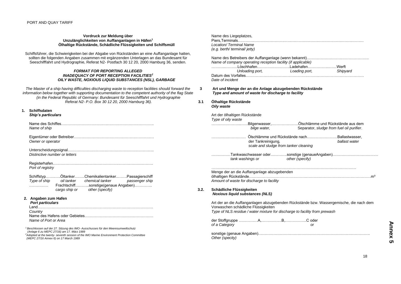#### **Vordruck zur Meldung über Unzulänglichkeiten von Auffanganlagen in Häfen<sup>1</sup> Ölhaltige Rückstände, Schädliche Flüssigkeiten und Schiffsmüll**

Schiffsführer, die Schwierigkeiten bei der Abgabe von Rückständen an eine Auffanganlage hatten, sollten die folgenden Angaben zusammen mit ergänzenden Unterlagen an das Bundesamt für Seeschifffahrt und Hydrographie, Referat N2- Postfach 30 12 20, 2000 Hamburg 36, senden.

#### *FORMAT FOR REPORTING ALLEGED INADEQUACY OF PORT RECEPTION FACILITIES<sup>2</sup> OILY WASTE, NOXIOUS LIQUID SUBSTANCES (NSL), GARBAGE*

*The Master of a ship having difficulties discharging waste to reception facilities should forward the information below together with supporting documentation to the competent authority of the flag State (in the Federal Republic of Germany: Bundesamt für Seeschifffahrt und Hydrographie Referat N2- P.O. Box 30 12 20, 2000 Hamburg 36).*

#### **1. Schiffsdaten**

 *Ship's particulars*

| Name of ship |
|--------------|

 Eigentümer oder Betreiber………………………………………………………  *Owner or operator*

 Unterscheidungssignal…………………………………………………………..  *Distinctive number or letters*

Registerhafen…………………………………………………………………….

 *Port of registry*

|              |               | SchiffstypOltankerChemikalientankerPassagierschiff |                |
|--------------|---------------|----------------------------------------------------|----------------|
| Type of ship | oil tanker    | chemical tanker                                    | passenger ship |
| .            |               | Frachtschiffsonstige(genaue Angaben)               |                |
|              | cargo ship or | other (specify)                                    |                |

#### **2. Angaben zum Hafen**

#### *Port particulars*

| l and                |  |  |  |
|----------------------|--|--|--|
| Country              |  |  |  |
|                      |  |  |  |
| Name of Port or Area |  |  |  |

*<sup>1</sup>Beschlossen auf der 27. Sitzung des IMO- Ausschusses für den Meeresumweltschutz (Anlage 6 zu MEPC 27/16) am 17. März 1989 <sup>2</sup>Adopted at the twenty- seventh session of the IMO Marine Environment Protection Committee (MEPC 27/16 Annex 6) on 17 March 1989*

| Name des Liegeplatzes,        |  |
|-------------------------------|--|
|                               |  |
| Location/Terminal Name        |  |
| (e.g. berth/ terminal/ jetty) |  |

| Name of company operating reception facility (if applicable)                                                   |               |          |  |  |  |
|----------------------------------------------------------------------------------------------------------------|---------------|----------|--|--|--|
| l öschhafen                                   l adehafen                             Werft                     |               |          |  |  |  |
| Unloading port,                                                                                                | Loading port, | Shipyard |  |  |  |
| Datum des Vorfalles et al. et al. et al. et al. et al. et al. et al. et al. et al. et al. et al. et al. et al. |               |          |  |  |  |
| Date of incident                                                                                               |               |          |  |  |  |

**Art und Menge der an die Anlage abzugebenden Rückstände**  *Type and amount of waste for discharge to facility*

**3.1 Ölhaltige Rückstände**  *Oily waste*

**3**

Art der ölhaltigen Rückstände *Type of oily waste*

| <i>i</i> ypu ur ur wasiu |                                                                 |
|--------------------------|-----------------------------------------------------------------|
|                          | …………………………Bilgenwasser,…………………Ölschlämme und Rückstände aus dem |
| bilge water,             | Separator, sludge from fuel oil purifier.                       |

| ………………………… Ölschlämme und Rückstände nach………………………Ballastwasser. |               |
|------------------------------------------------------------------|---------------|
| der Tankreinigung,                                               | ballast water |
| scale and sludge from tanker cleaning                            |               |

| tank washings or | other (specify) |  |
|------------------|-----------------|--|

| Menge der an die Auffanganlage abzugebenden                           |  |
|-----------------------------------------------------------------------|--|
| ölhaltiqen Rückstände…………………………………………………………………………………………m <sup>a</sup> |  |
| Amount of waste for discharge to facility                             |  |

#### **3.2. Schädliche Flüssigkeiten**  *Noxious liquid substances (NLS)*

Art der an die Auffanganlagen abzugebenden Rückstände bzw. Wassergemische, die nach dem Vorwaschen schädliche Flüssigkeiten *Type of NLS residue / water mixture for discharge to facility from prewash*

| der Stoffgruppe …………….A,……………B,………………C oder<br>of a Category |  |  |  |
|--------------------------------------------------------------|--|--|--|
| Other (specity)                                              |  |  |  |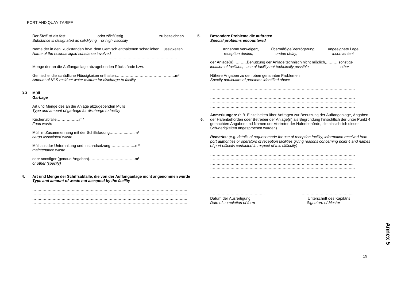#### PORT AND QUAY TARIFF

|     | Der Stoff ist als fest<br>zu bezeichnen<br>oder zähflüssig<br>Substance is designated as solidifying or high viscosity                      | 5. | Besondere Probleme die auftraten<br>Special problems encountered                                                                                                                                                                                                                                                      |                                                                                                   |
|-----|---------------------------------------------------------------------------------------------------------------------------------------------|----|-----------------------------------------------------------------------------------------------------------------------------------------------------------------------------------------------------------------------------------------------------------------------------------------------------------------------|---------------------------------------------------------------------------------------------------|
|     | Name der in den Rückständen bzw. dem Gemisch enthaltenen schädlichen Flüssigkeiten<br>Name of the noxious liquid substance involved         |    | Annahme verweigert,übermäßige Verzögerung,ungeeignete Lage<br>reception denied,<br>undue delay,                                                                                                                                                                                                                       | inconvenient                                                                                      |
|     | Menge der an die Auffanganlage abzugebenden Rückstände bzw.                                                                                 |    | der Anlage(n),Benutzung der Anlage technisch nicht möglich,sonstige<br>location of facilities, use of facility not technically possible,                                                                                                                                                                              | other                                                                                             |
|     | Amount of NLS residue/ water mixture for discharge to facility                                                                              |    | Nähere Angaben zu den oben genannten Problemen<br>Specify particulars of problems identified above                                                                                                                                                                                                                    |                                                                                                   |
| 3.3 | Müll<br>Garbage                                                                                                                             |    |                                                                                                                                                                                                                                                                                                                       |                                                                                                   |
|     | Art und Menge des an die Anlage abzugebenden Mülls<br>Type and amount of garbage for discharge to facility                                  |    |                                                                                                                                                                                                                                                                                                                       |                                                                                                   |
|     | Küchenabfällem <sup>3</sup><br>Food waste                                                                                                   | 6. | Anmerkungen: (z.B. Einzelheiten über Anfragen zur Benutzung der Auffanganlage, Angaben<br>der Hafenbehörden oder Betreiber der Anlage(n) als Begründung hinsichtlich der unter Punkt 4<br>gemachten Angaben und Namen der Vertreter der Hafenbehörde, die hinsichtlich dieser<br>Schwierigkeiten angesprochen wurden) |                                                                                                   |
|     | cargo associated waste                                                                                                                      |    | <b>Remarks:</b> (e.g. details of request made for use of reception facility, information received from                                                                                                                                                                                                                | port authorities or operators of reception facilities giving reasons concerning point 4 and names |
|     | maintenance waste                                                                                                                           |    | of port officials contacted in respect of this difficulty)                                                                                                                                                                                                                                                            |                                                                                                   |
|     | or other (specify)                                                                                                                          |    |                                                                                                                                                                                                                                                                                                                       |                                                                                                   |
| 4.  | Art und Menge der Schiffsabfälle, die von der Auffanganlage nicht angenommen wurde<br>Type and amount of waste not accepted by the facility |    |                                                                                                                                                                                                                                                                                                                       |                                                                                                   |
|     |                                                                                                                                             |    | Datum der Ausfertigung<br>Date of completion of form                                                                                                                                                                                                                                                                  | Unterschrift des Kapitäns<br>Signature of Master                                                  |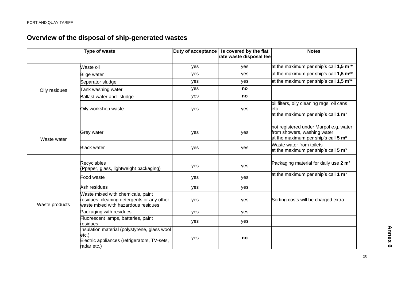# **Overview of the disposal of ship-generated wastes**

|                | Type of waste                                                                                                           | Duty of acceptance | Is covered by the flat<br>rate waste disposal fee | <b>Notes</b>                                                                                                             |
|----------------|-------------------------------------------------------------------------------------------------------------------------|--------------------|---------------------------------------------------|--------------------------------------------------------------------------------------------------------------------------|
|                | Waste oil                                                                                                               | yes                | yes                                               | at the maximum per ship's call $1,5 \text{ m}^{3*}$                                                                      |
|                | <b>Bilge water</b>                                                                                                      | yes                | yes                                               | at the maximum per ship's call $1.5 \text{ m}^{3*}$                                                                      |
|                | Separator sludge                                                                                                        | yes                | yes                                               | at the maximum per ship's call 1,5 m <sup>3*</sup>                                                                       |
| Oily residues  | Tank washing water                                                                                                      | yes                | no                                                |                                                                                                                          |
|                | Ballast water and -sludge                                                                                               | yes                | no                                                |                                                                                                                          |
|                | Oily workshop waste                                                                                                     | yes                | yes                                               | oil filters, oily cleaning rags, oil cans<br>etc.<br>at the maximum per ship's call 1 m <sup>3</sup>                     |
| Waste water    | <b>Grey water</b>                                                                                                       | yes                | yes                                               | not registered under Marpol e.g. water<br>from showers, washing water<br>at the maximum per ship's call 5 m <sup>3</sup> |
|                | <b>Black water</b>                                                                                                      | yes                | yes                                               | Waste water from toilets<br>at the maximum per ship's call 5 m <sup>3</sup>                                              |
|                | <b>Recyclables</b><br>(Ppaper, glass, lightweight packaging)                                                            | yes                | yes                                               | Packaging material for daily use 2 m <sup>3</sup>                                                                        |
|                | Food waste                                                                                                              | yes                | yes                                               | at the maximum per ship's call 1 m <sup>3</sup>                                                                          |
|                | Ash residues                                                                                                            | yes                | yes                                               |                                                                                                                          |
| Waste products | Waste mixed with chemicals, paint<br>residues, cleaning detergents or any other<br>waste mixed with hazardous residues  | yes                | yes                                               | Sorting costs will be charged extra                                                                                      |
|                | Packaging with residues                                                                                                 | yes                | yes                                               |                                                                                                                          |
|                | Fluorescent lamps, batteries, paint<br>residues                                                                         | yes                | yes                                               |                                                                                                                          |
|                | Insulation material (polystyrene, glass wool<br>$etc.$ )<br>Electric appliances (refrigerators, TV-sets,<br>radar etc.) | yes                | no                                                |                                                                                                                          |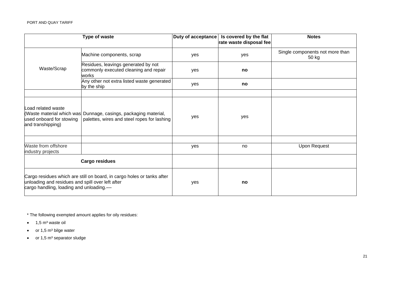|                                                                                                                                                                       | Type of waste                                                                                                  | Duty of acceptance | Is covered by the flat<br>rate waste disposal fee | <b>Notes</b>                             |
|-----------------------------------------------------------------------------------------------------------------------------------------------------------------------|----------------------------------------------------------------------------------------------------------------|--------------------|---------------------------------------------------|------------------------------------------|
|                                                                                                                                                                       | Machine components, scrap                                                                                      | yes                | yes                                               | Single components not more than<br>50 kg |
| Waste/Scrap                                                                                                                                                           | Residues, leavings generated by not<br>commonly executed cleaning and repair<br>works                          | yes                | no                                                |                                          |
|                                                                                                                                                                       | Any other not extra listed waste generated<br>by the ship                                                      | yes                | no                                                |                                          |
|                                                                                                                                                                       |                                                                                                                |                    |                                                   |                                          |
| Load related waste<br>used onboard for stowing<br>and transhipping)                                                                                                   | (Waste material which was Dunnage, casings, packaging material,<br>palettes, wires and steel ropes for lashing | yes                | yes                                               |                                          |
|                                                                                                                                                                       |                                                                                                                |                    |                                                   |                                          |
| Waste from offshore<br>industry projects                                                                                                                              |                                                                                                                | yes                | no                                                | Upon Request                             |
|                                                                                                                                                                       | <b>Cargo residues</b>                                                                                          |                    |                                                   |                                          |
| Cargo residues which are still on board, in cargo holes or tanks after<br>unloading and residues and spill over left after<br>cargo handling, loading and unloading.— |                                                                                                                | yes                | no                                                |                                          |

\* The following exempted amount applies for oily residues:

- $\bullet$  1,5 m<sup>3</sup> waste oil
- or  $1,5$  m<sup>3</sup> bilge water
- $\bullet$  or 1,5 m<sup>3</sup> separator sludge